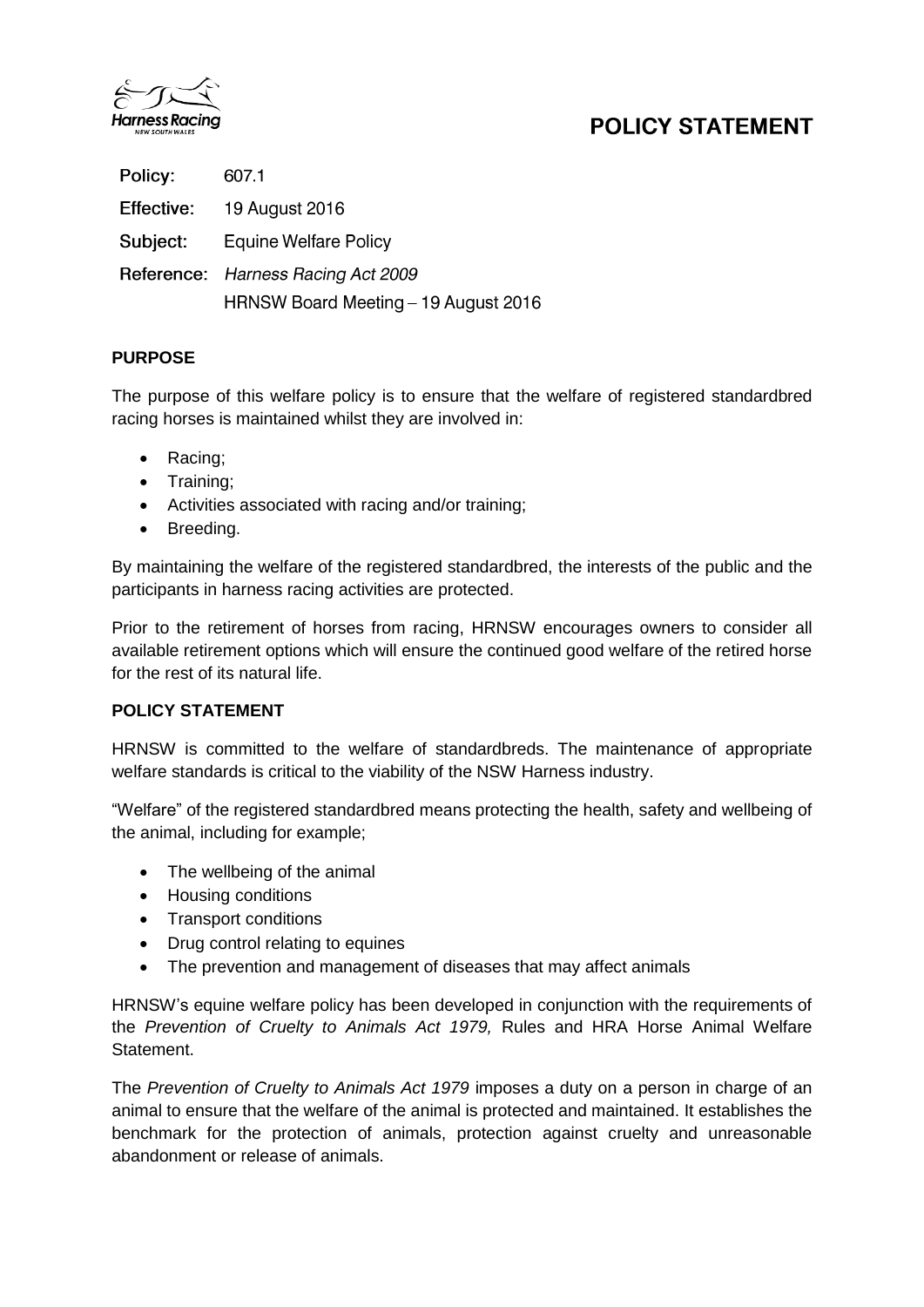

# **POLICY STATEMENT**

| Policy:    | 607.1                                |
|------------|--------------------------------------|
| Effective: | 19 August 2016                       |
| Subject:   | <b>Equine Welfare Policy</b>         |
|            | Reference: Harness Racing Act 2009   |
|            | HRNSW Board Meeting - 19 August 2016 |

## **PURPOSE**

The purpose of this welfare policy is to ensure that the welfare of registered standardbred racing horses is maintained whilst they are involved in:

- Racing;
- Training;
- Activities associated with racing and/or training;
- Breeding.

By maintaining the welfare of the registered standardbred, the interests of the public and the participants in harness racing activities are protected.

Prior to the retirement of horses from racing, HRNSW encourages owners to consider all available retirement options which will ensure the continued good welfare of the retired horse for the rest of its natural life.

### **POLICY STATEMENT**

HRNSW is committed to the welfare of standardbreds. The maintenance of appropriate welfare standards is critical to the viability of the NSW Harness industry.

"Welfare" of the registered standardbred means protecting the health, safety and wellbeing of the animal, including for example;

- The wellbeing of the animal
- Housing conditions
- Transport conditions
- Drug control relating to equines
- The prevention and management of diseases that may affect animals

HRNSW's equine welfare policy has been developed in conjunction with the requirements of the *Prevention of Cruelty to Animals Act 1979,* Rules and HRA Horse Animal Welfare Statement.

The *Prevention of Cruelty to Animals Act 1979* imposes a duty on a person in charge of an animal to ensure that the welfare of the animal is protected and maintained. It establishes the benchmark for the protection of animals, protection against cruelty and unreasonable abandonment or release of animals.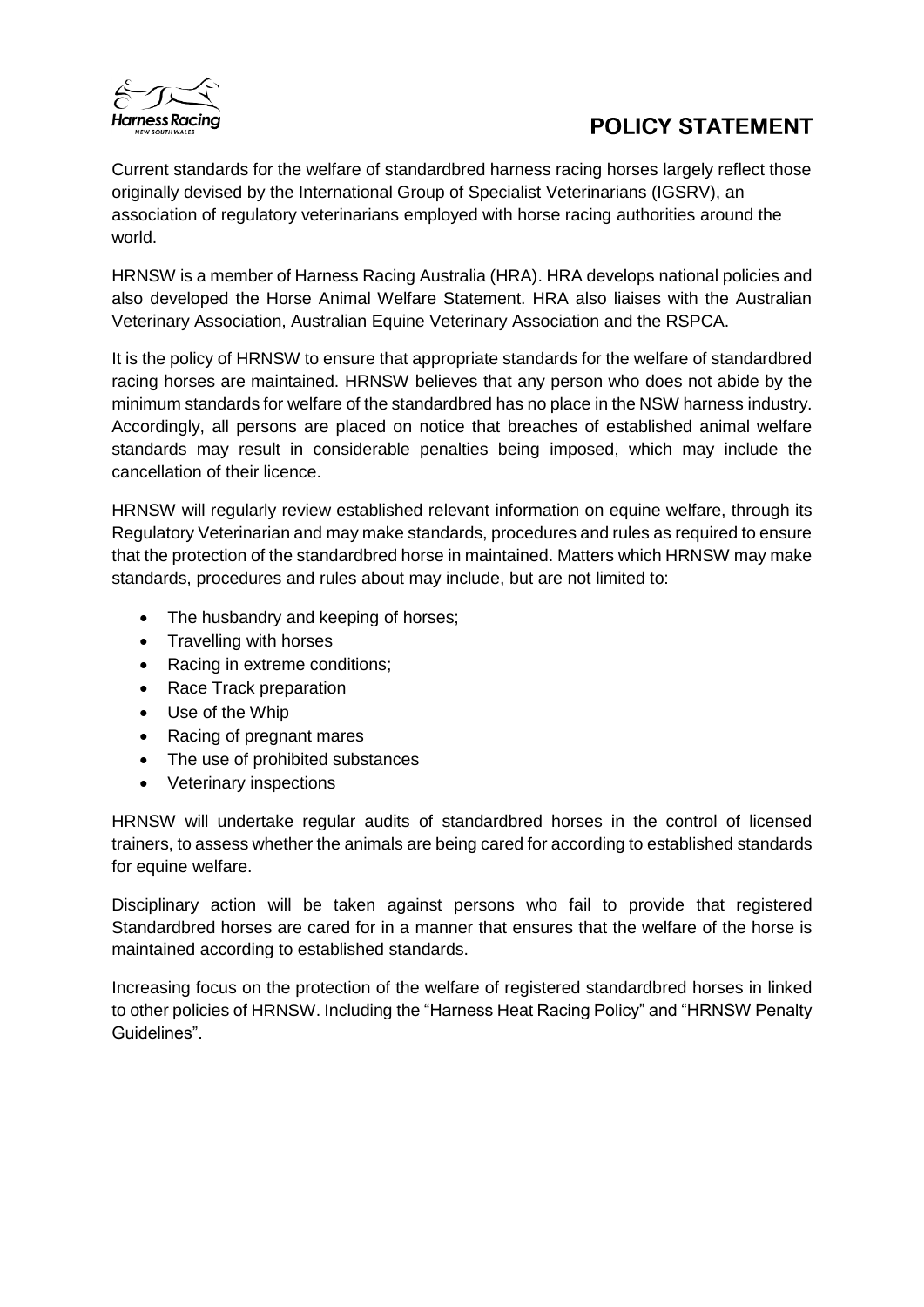

# **POLICY STATEMENT**

Current standards for the welfare of standardbred harness racing horses largely reflect those originally devised by the International Group of Specialist Veterinarians (IGSRV), an association of regulatory veterinarians employed with horse racing authorities around the world.

HRNSW is a member of Harness Racing Australia (HRA). HRA develops national policies and also developed the Horse Animal Welfare Statement. HRA also liaises with the Australian Veterinary Association, Australian Equine Veterinary Association and the RSPCA.

It is the policy of HRNSW to ensure that appropriate standards for the welfare of standardbred racing horses are maintained. HRNSW believes that any person who does not abide by the minimum standards for welfare of the standardbred has no place in the NSW harness industry. Accordingly, all persons are placed on notice that breaches of established animal welfare standards may result in considerable penalties being imposed, which may include the cancellation of their licence.

HRNSW will regularly review established relevant information on equine welfare, through its Regulatory Veterinarian and may make standards, procedures and rules as required to ensure that the protection of the standardbred horse in maintained. Matters which HRNSW may make standards, procedures and rules about may include, but are not limited to:

- The husbandry and keeping of horses;
- Travelling with horses
- Racing in extreme conditions;
- Race Track preparation
- Use of the Whip
- Racing of pregnant mares
- The use of prohibited substances
- Veterinary inspections

HRNSW will undertake regular audits of standardbred horses in the control of licensed trainers, to assess whether the animals are being cared for according to established standards for equine welfare.

Disciplinary action will be taken against persons who fail to provide that registered Standardbred horses are cared for in a manner that ensures that the welfare of the horse is maintained according to established standards.

Increasing focus on the protection of the welfare of registered standardbred horses in linked to other policies of HRNSW. Including the "Harness Heat Racing Policy" and "HRNSW Penalty Guidelines".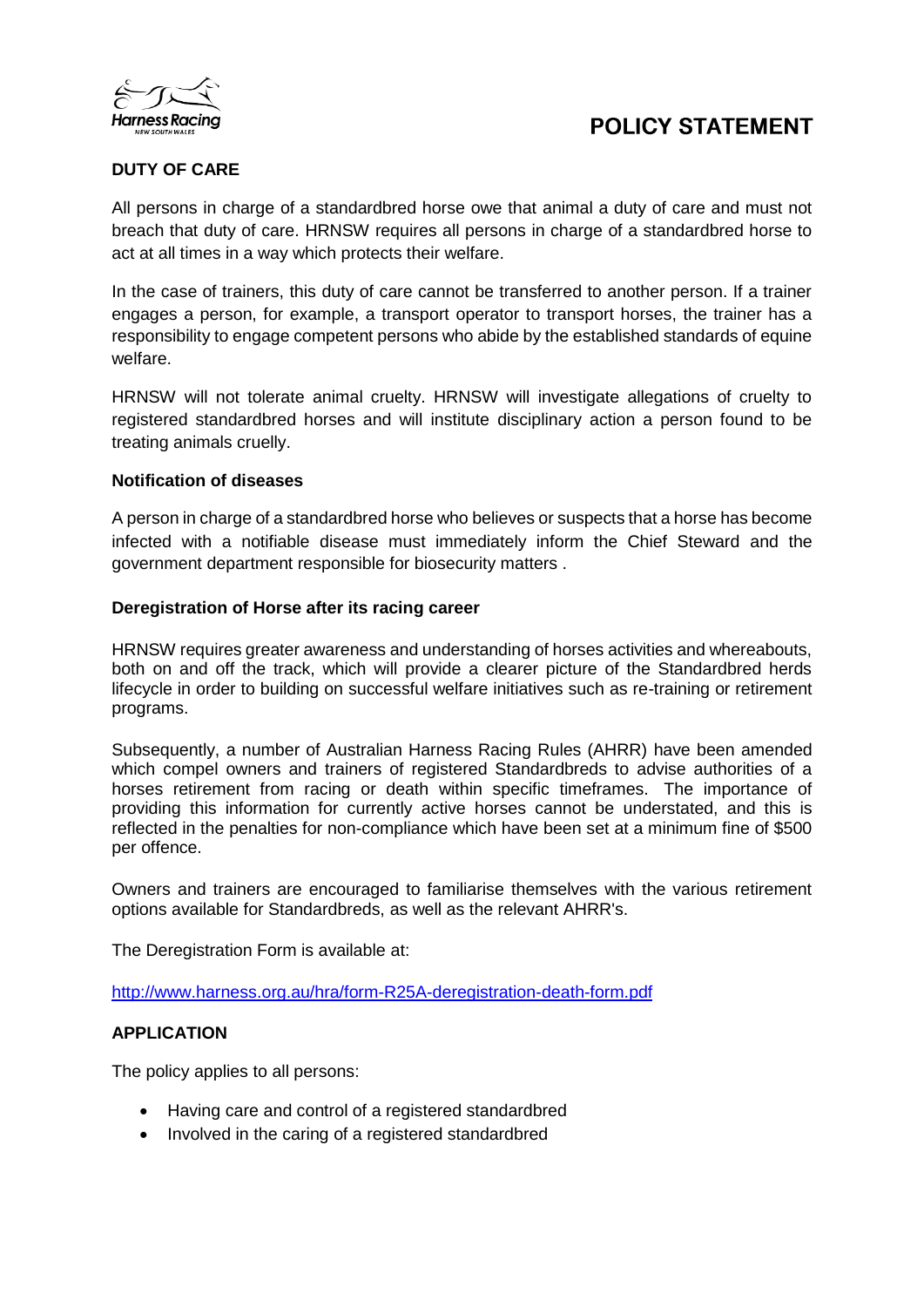



## **DUTY OF CARE**

All persons in charge of a standardbred horse owe that animal a duty of care and must not breach that duty of care. HRNSW requires all persons in charge of a standardbred horse to act at all times in a way which protects their welfare.

In the case of trainers, this duty of care cannot be transferred to another person. If a trainer engages a person, for example, a transport operator to transport horses, the trainer has a responsibility to engage competent persons who abide by the established standards of equine welfare.

HRNSW will not tolerate animal cruelty. HRNSW will investigate allegations of cruelty to registered standardbred horses and will institute disciplinary action a person found to be treating animals cruelly.

### **Notification of diseases**

A person in charge of a standardbred horse who believes or suspects that a horse has become infected with a notifiable disease must immediately inform the Chief Steward and the government department responsible for biosecurity matters .

### **Deregistration of Horse after its racing career**

HRNSW requires greater awareness and understanding of horses activities and whereabouts, both on and off the track, which will provide a clearer picture of the Standardbred herds lifecycle in order to building on successful welfare initiatives such as re-training or retirement programs.

Subsequently, a number of Australian Harness Racing Rules (AHRR) have been amended which compel owners and trainers of registered Standardbreds to advise authorities of a horses retirement from racing or death within specific timeframes. The importance of providing this information for currently active horses cannot be understated, and this is reflected in the penalties for non-compliance which have been set at a minimum fine of \$500 per offence.

Owners and trainers are encouraged to familiarise themselves with the various retirement options available for Standardbreds, as well as the relevant AHRR's.

The Deregistration Form is available at:

<http://www.harness.org.au/hra/form-R25A-deregistration-death-form.pdf>

### **APPLICATION**

The policy applies to all persons:

- Having care and control of a registered standardbred
- Involved in the caring of a registered standardbred